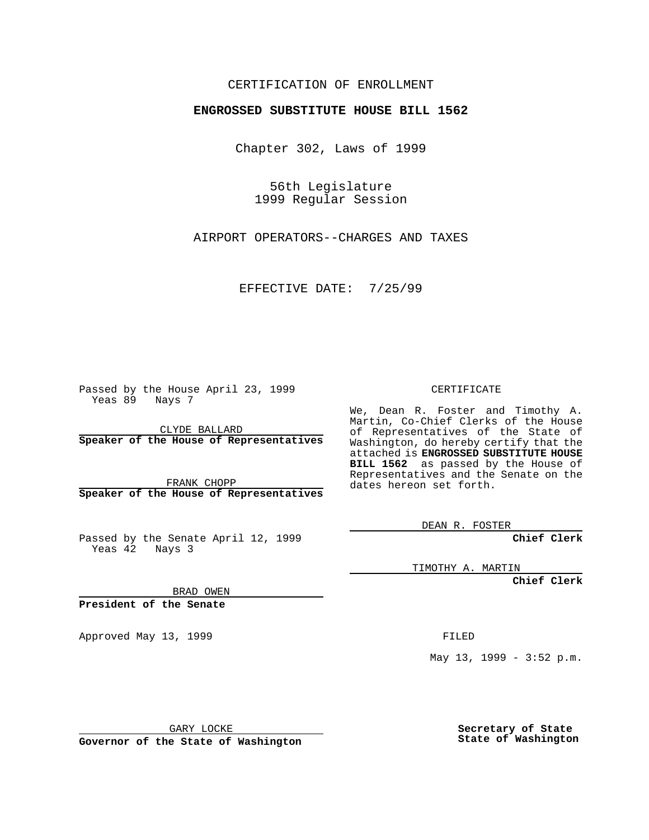## CERTIFICATION OF ENROLLMENT

## **ENGROSSED SUBSTITUTE HOUSE BILL 1562**

Chapter 302, Laws of 1999

56th Legislature 1999 Regular Session

AIRPORT OPERATORS--CHARGES AND TAXES

EFFECTIVE DATE: 7/25/99

Passed by the House April 23, 1999 Yeas 89 Nays 7

CLYDE BALLARD **Speaker of the House of Representatives**

FRANK CHOPP **Speaker of the House of Representatives**

Passed by the Senate April 12, 1999 Yeas 42 Nays 3

CERTIFICATE

We, Dean R. Foster and Timothy A. Martin, Co-Chief Clerks of the House of Representatives of the State of Washington, do hereby certify that the attached is **ENGROSSED SUBSTITUTE HOUSE BILL 1562** as passed by the House of Representatives and the Senate on the dates hereon set forth.

DEAN R. FOSTER

**Chief Clerk**

TIMOTHY A. MARTIN

**Chief Clerk**

BRAD OWEN

**President of the Senate**

Approved May 13, 1999 **FILED** 

May 13, 1999 - 3:52 p.m.

GARY LOCKE

**Governor of the State of Washington**

**Secretary of State State of Washington**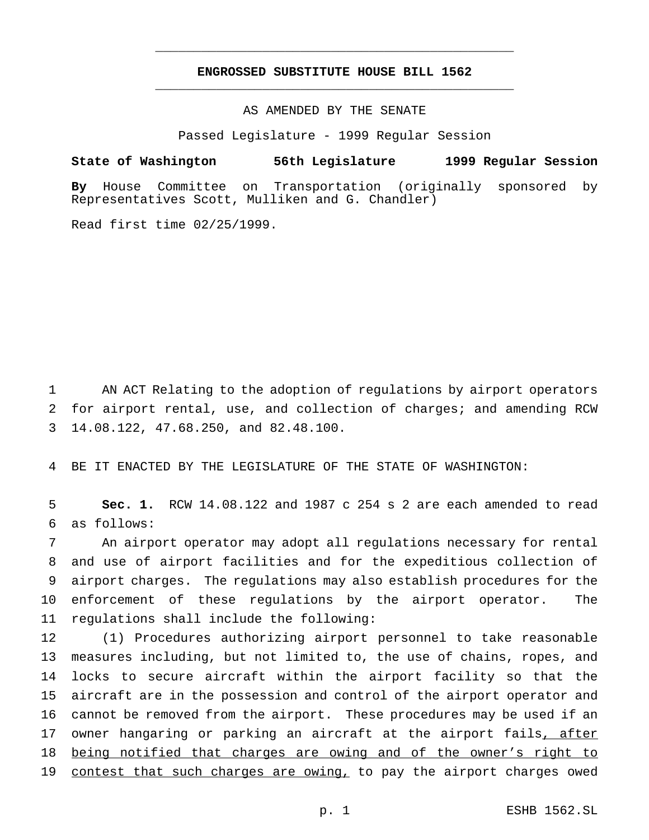## **ENGROSSED SUBSTITUTE HOUSE BILL 1562** \_\_\_\_\_\_\_\_\_\_\_\_\_\_\_\_\_\_\_\_\_\_\_\_\_\_\_\_\_\_\_\_\_\_\_\_\_\_\_\_\_\_\_\_\_\_\_

\_\_\_\_\_\_\_\_\_\_\_\_\_\_\_\_\_\_\_\_\_\_\_\_\_\_\_\_\_\_\_\_\_\_\_\_\_\_\_\_\_\_\_\_\_\_\_

AS AMENDED BY THE SENATE

Passed Legislature - 1999 Regular Session

**State of Washington 56th Legislature 1999 Regular Session**

**By** House Committee on Transportation (originally sponsored by Representatives Scott, Mulliken and G. Chandler)

Read first time 02/25/1999.

1 AN ACT Relating to the adoption of regulations by airport operators 2 for airport rental, use, and collection of charges; and amending RCW 3 14.08.122, 47.68.250, and 82.48.100.

4 BE IT ENACTED BY THE LEGISLATURE OF THE STATE OF WASHINGTON:

5 **Sec. 1.** RCW 14.08.122 and 1987 c 254 s 2 are each amended to read 6 as follows:

 An airport operator may adopt all regulations necessary for rental and use of airport facilities and for the expeditious collection of airport charges. The regulations may also establish procedures for the enforcement of these regulations by the airport operator. The regulations shall include the following:

 (1) Procedures authorizing airport personnel to take reasonable measures including, but not limited to, the use of chains, ropes, and locks to secure aircraft within the airport facility so that the aircraft are in the possession and control of the airport operator and cannot be removed from the airport. These procedures may be used if an 17 owner hangaring or parking an aircraft at the airport fails, after being notified that charges are owing and of the owner's right to 19 contest that such charges are owing, to pay the airport charges owed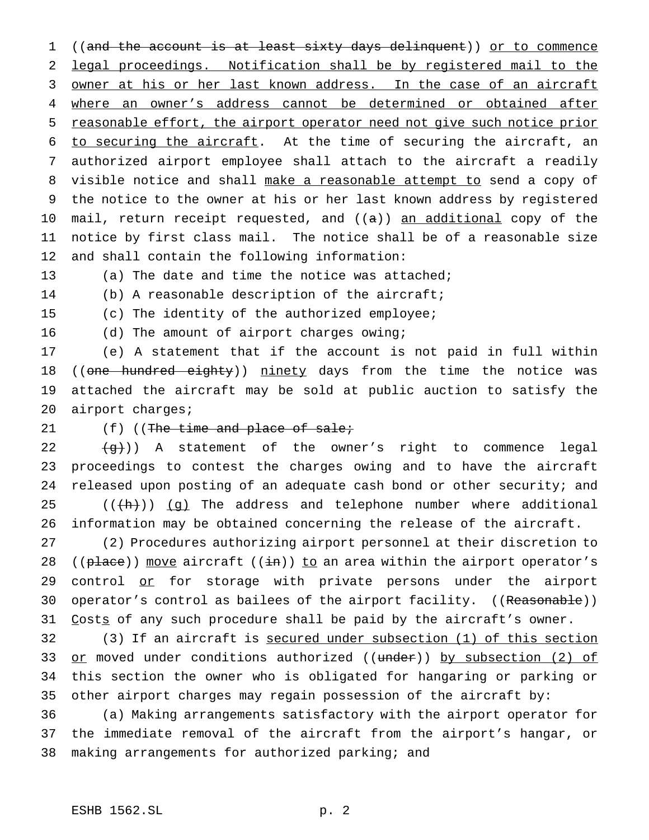((and the account is at least sixty days delinquent)) or to commence legal proceedings. Notification shall be by registered mail to the 3 owner at his or her last known address. In the case of an aircraft where an owner's address cannot be determined or obtained after reasonable effort, the airport operator need not give such notice prior to securing the aircraft. At the time of securing the aircraft, an authorized airport employee shall attach to the aircraft a readily visible notice and shall make a reasonable attempt to send a copy of the notice to the owner at his or her last known address by registered 10 mail, return receipt requested, and ((a)) an additional copy of the notice by first class mail. The notice shall be of a reasonable size and shall contain the following information:

(a) The date and time the notice was attached;

(b) A reasonable description of the aircraft;

(c) The identity of the authorized employee;

16 (d) The amount of airport charges owing;

 (e) A statement that if the account is not paid in full within 18 ((one hundred eighty)) ninety days from the time the notice was attached the aircraft may be sold at public auction to satisfy the airport charges;

## $(f)$  ((The time and place of sale;

 $\{\rightarrow\}$ )) A statement of the owner's right to commence legal proceedings to contest the charges owing and to have the aircraft released upon posting of an adequate cash bond or other security; and ( $(\overline{\text{h}}))$   $\overline{\text{g}}$ ) The address and telephone number where additional information may be obtained concerning the release of the aircraft.

 (2) Procedures authorizing airport personnel at their discretion to 28 (( $plane$ )) move aircraft (( $\pm$ n)) to an area within the airport operator's 29 control or for storage with private persons under the airport 30 operator's control as bailees of the airport facility. ((Reasonable)) 31 Costs of any such procedure shall be paid by the aircraft's owner.

 (3) If an aircraft is secured under subsection (1) of this section 33 or moved under conditions authorized ((under)) by subsection (2) of this section the owner who is obligated for hangaring or parking or other airport charges may regain possession of the aircraft by:

 (a) Making arrangements satisfactory with the airport operator for the immediate removal of the aircraft from the airport's hangar, or making arrangements for authorized parking; and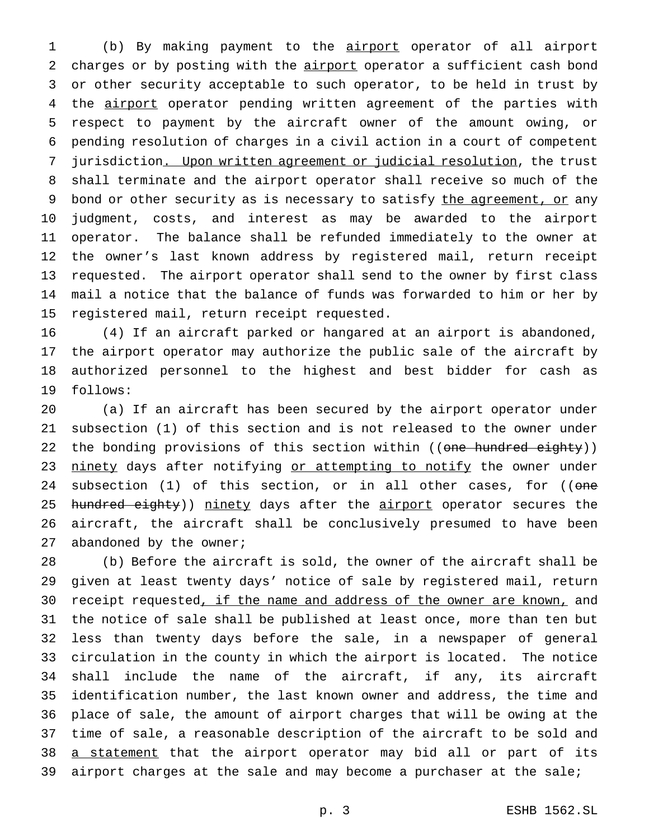(b) By making payment to the airport operator of all airport charges or by posting with the airport operator a sufficient cash bond or other security acceptable to such operator, to be held in trust by 4 the airport operator pending written agreement of the parties with respect to payment by the aircraft owner of the amount owing, or pending resolution of charges in a civil action in a court of competent jurisdiction. Upon written agreement or judicial resolution, the trust shall terminate and the airport operator shall receive so much of the 9 bond or other security as is necessary to satisfy the agreement, or any judgment, costs, and interest as may be awarded to the airport operator. The balance shall be refunded immediately to the owner at the owner's last known address by registered mail, return receipt requested. The airport operator shall send to the owner by first class mail a notice that the balance of funds was forwarded to him or her by registered mail, return receipt requested.

 (4) If an aircraft parked or hangared at an airport is abandoned, the airport operator may authorize the public sale of the aircraft by authorized personnel to the highest and best bidder for cash as follows:

 (a) If an aircraft has been secured by the airport operator under subsection (1) of this section and is not released to the owner under 22 the bonding provisions of this section within ((one hundred eighty)) 23 ninety days after notifying or attempting to notify the owner under 24 subsection (1) of this section, or in all other cases, for ((one 25 hundred eighty)) ninety days after the airport operator secures the aircraft, the aircraft shall be conclusively presumed to have been 27 abandoned by the owner;

 (b) Before the aircraft is sold, the owner of the aircraft shall be given at least twenty days' notice of sale by registered mail, return 30 receipt requested, if the name and address of the owner are known, and the notice of sale shall be published at least once, more than ten but less than twenty days before the sale, in a newspaper of general circulation in the county in which the airport is located. The notice shall include the name of the aircraft, if any, its aircraft identification number, the last known owner and address, the time and place of sale, the amount of airport charges that will be owing at the time of sale, a reasonable description of the aircraft to be sold and 38 a statement that the airport operator may bid all or part of its airport charges at the sale and may become a purchaser at the sale;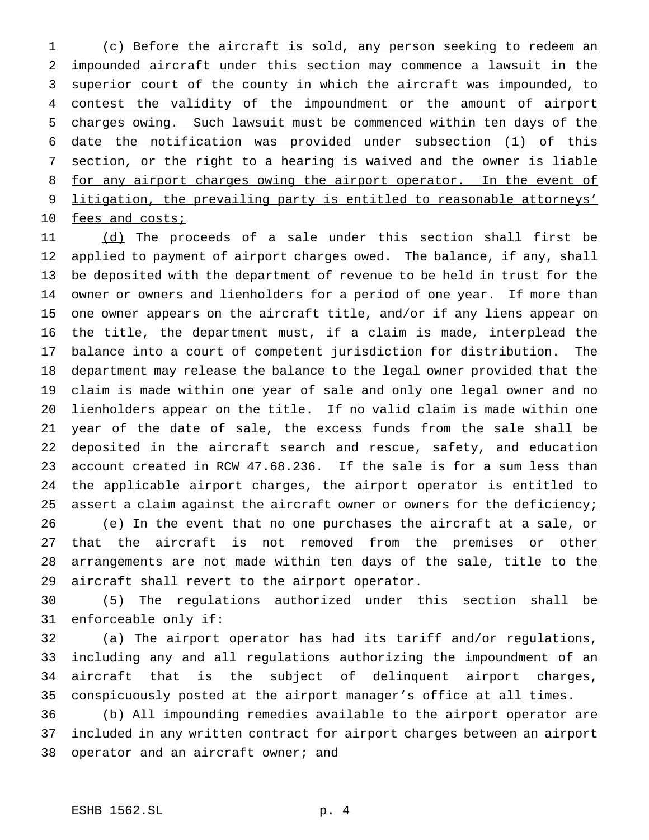(c) Before the aircraft is sold, any person seeking to redeem an impounded aircraft under this section may commence a lawsuit in the 3 superior court of the county in which the aircraft was impounded, to 4 contest the validity of the impoundment or the amount of airport charges owing. Such lawsuit must be commenced within ten days of the date the notification was provided under subsection (1) of this section, or the right to a hearing is waived and the owner is liable 8 for any airport charges owing the airport operator. In the event of litigation, the prevailing party is entitled to reasonable attorneys' 10 fees and costs;

11 (d) The proceeds of a sale under this section shall first be applied to payment of airport charges owed. The balance, if any, shall be deposited with the department of revenue to be held in trust for the owner or owners and lienholders for a period of one year. If more than one owner appears on the aircraft title, and/or if any liens appear on the title, the department must, if a claim is made, interplead the balance into a court of competent jurisdiction for distribution. The department may release the balance to the legal owner provided that the claim is made within one year of sale and only one legal owner and no lienholders appear on the title. If no valid claim is made within one year of the date of sale, the excess funds from the sale shall be deposited in the aircraft search and rescue, safety, and education account created in RCW 47.68.236. If the sale is for a sum less than the applicable airport charges, the airport operator is entitled to 25 assert a claim against the aircraft owner or owners for the deficiency $i$ 26 (e) In the event that no one purchases the aircraft at a sale, or 27 that the aircraft is not removed from the premises or other 28 arrangements are not made within ten days of the sale, title to the 29 aircraft shall revert to the airport operator.

 (5) The regulations authorized under this section shall be enforceable only if:

 (a) The airport operator has had its tariff and/or regulations, including any and all regulations authorizing the impoundment of an aircraft that is the subject of delinquent airport charges, conspicuously posted at the airport manager's office at all times.

 (b) All impounding remedies available to the airport operator are included in any written contract for airport charges between an airport 38 operator and an aircraft owner; and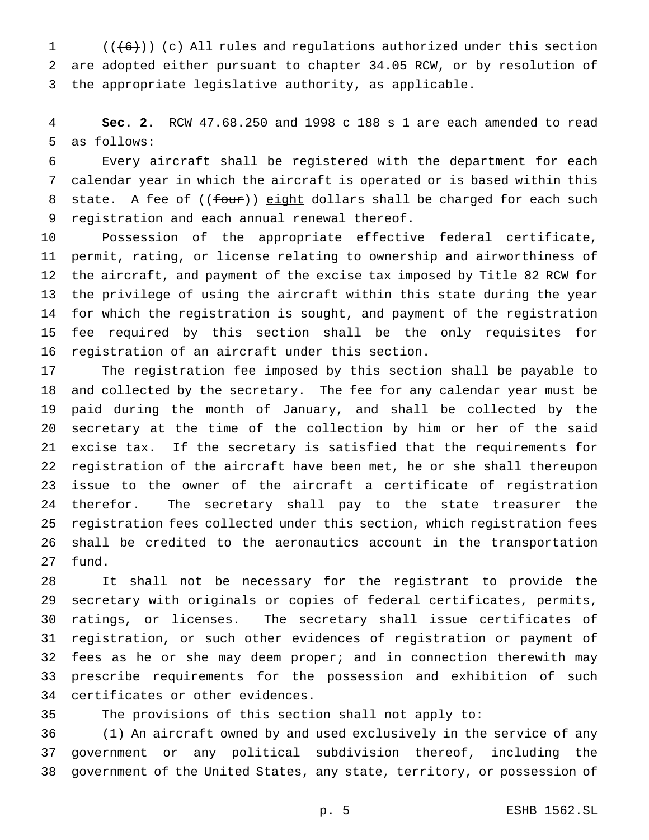1  $((+6))$  (c) All rules and regulations authorized under this section are adopted either pursuant to chapter 34.05 RCW, or by resolution of the appropriate legislative authority, as applicable.

 **Sec. 2.** RCW 47.68.250 and 1998 c 188 s 1 are each amended to read as follows:

 Every aircraft shall be registered with the department for each calendar year in which the aircraft is operated or is based within this 8 state. A fee of ((four)) eight dollars shall be charged for each such registration and each annual renewal thereof.

 Possession of the appropriate effective federal certificate, permit, rating, or license relating to ownership and airworthiness of the aircraft, and payment of the excise tax imposed by Title 82 RCW for the privilege of using the aircraft within this state during the year for which the registration is sought, and payment of the registration fee required by this section shall be the only requisites for registration of an aircraft under this section.

 The registration fee imposed by this section shall be payable to and collected by the secretary. The fee for any calendar year must be paid during the month of January, and shall be collected by the secretary at the time of the collection by him or her of the said excise tax. If the secretary is satisfied that the requirements for registration of the aircraft have been met, he or she shall thereupon issue to the owner of the aircraft a certificate of registration therefor. The secretary shall pay to the state treasurer the registration fees collected under this section, which registration fees shall be credited to the aeronautics account in the transportation fund.

 It shall not be necessary for the registrant to provide the secretary with originals or copies of federal certificates, permits, ratings, or licenses. The secretary shall issue certificates of registration, or such other evidences of registration or payment of fees as he or she may deem proper; and in connection therewith may prescribe requirements for the possession and exhibition of such certificates or other evidences.

The provisions of this section shall not apply to:

 (1) An aircraft owned by and used exclusively in the service of any government or any political subdivision thereof, including the government of the United States, any state, territory, or possession of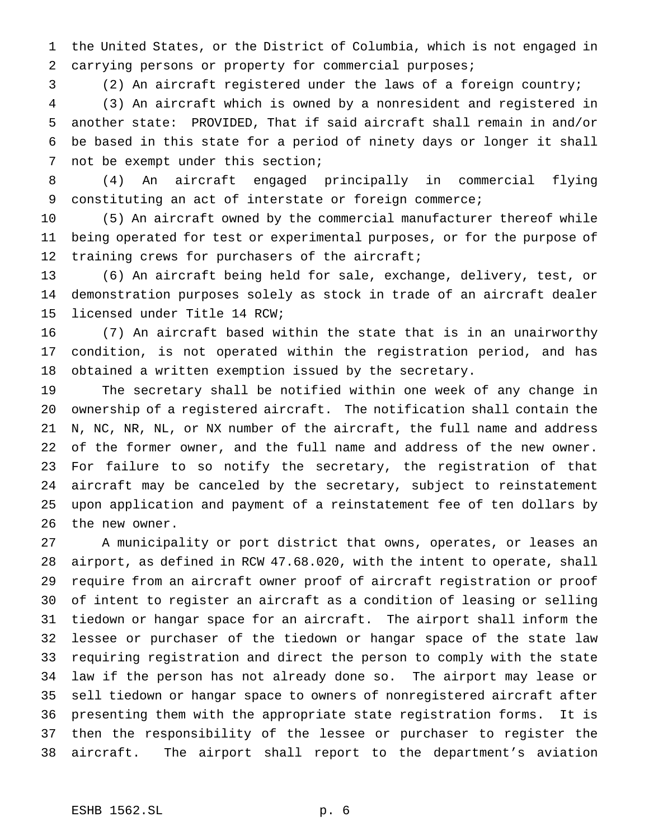the United States, or the District of Columbia, which is not engaged in carrying persons or property for commercial purposes;

(2) An aircraft registered under the laws of a foreign country;

 (3) An aircraft which is owned by a nonresident and registered in another state: PROVIDED, That if said aircraft shall remain in and/or be based in this state for a period of ninety days or longer it shall not be exempt under this section;

 (4) An aircraft engaged principally in commercial flying constituting an act of interstate or foreign commerce;

 (5) An aircraft owned by the commercial manufacturer thereof while being operated for test or experimental purposes, or for the purpose of 12 training crews for purchasers of the aircraft;

 (6) An aircraft being held for sale, exchange, delivery, test, or demonstration purposes solely as stock in trade of an aircraft dealer licensed under Title 14 RCW;

 (7) An aircraft based within the state that is in an unairworthy condition, is not operated within the registration period, and has obtained a written exemption issued by the secretary.

 The secretary shall be notified within one week of any change in ownership of a registered aircraft. The notification shall contain the N, NC, NR, NL, or NX number of the aircraft, the full name and address of the former owner, and the full name and address of the new owner. For failure to so notify the secretary, the registration of that aircraft may be canceled by the secretary, subject to reinstatement upon application and payment of a reinstatement fee of ten dollars by the new owner.

 A municipality or port district that owns, operates, or leases an airport, as defined in RCW 47.68.020, with the intent to operate, shall require from an aircraft owner proof of aircraft registration or proof of intent to register an aircraft as a condition of leasing or selling tiedown or hangar space for an aircraft. The airport shall inform the lessee or purchaser of the tiedown or hangar space of the state law requiring registration and direct the person to comply with the state law if the person has not already done so. The airport may lease or sell tiedown or hangar space to owners of nonregistered aircraft after presenting them with the appropriate state registration forms. It is then the responsibility of the lessee or purchaser to register the aircraft. The airport shall report to the department's aviation